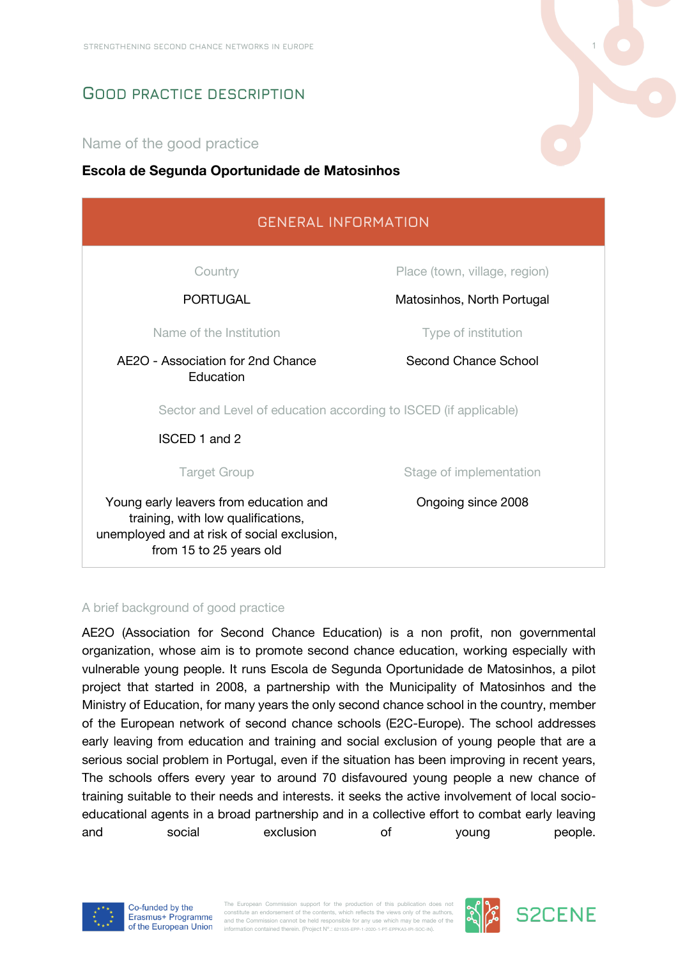# **GOOD PRACTICE DESCRIPTION**

### Name of the good practice

#### **Escola de Segunda Oportunidade de Matosinhos**

| <b>GENERAL INFORMATION</b>                                                                                                                             |                               |
|--------------------------------------------------------------------------------------------------------------------------------------------------------|-------------------------------|
| Country                                                                                                                                                | Place (town, village, region) |
| <b>PORTUGAL</b>                                                                                                                                        | Matosinhos, North Portugal    |
| Name of the Institution                                                                                                                                | Type of institution           |
| AE2O - Association for 2nd Chance<br>Education                                                                                                         | Second Chance School          |
| Sector and Level of education according to ISCED (if applicable)                                                                                       |                               |
| <b>ISCED 1 and 2</b>                                                                                                                                   |                               |
| <b>Target Group</b>                                                                                                                                    | Stage of implementation       |
| Young early leavers from education and<br>training, with low qualifications,<br>unemployed and at risk of social exclusion,<br>from 15 to 25 years old | Ongoing since 2008            |

#### A brief background of good practice

AE2O (Association for Second Chance Education) is a non profit, non governmental organization, whose aim is to promote second chance education, working especially with vulnerable young people. It runs Escola de Segunda Oportunidade de Matosinhos, a pilot project that started in 2008, a partnership with the Municipality of Matosinhos and the Ministry of Education, for many years the only second chance school in the country, member of the European network of second chance schools (E2C-Europe). The school addresses early leaving from education and training and social exclusion of young people that are a serious social problem in Portugal, even if the situation has been improving in recent years, The schools offers every year to around 70 disfavoured young people a new chance of training suitable to their needs and interests. it seeks the active involvement of local socioeducational agents in a broad partnership and in a collective effort to combat early leaving and social exclusion of young people.



The European Commission support for the production of this publication does no constitute an endorsement of the contents, which reflects the views only of the authors and the Commission cannot be held responsible for any use which may be made of the information contained therein. (Project Nº.: 621535-EPP-1-2020-1-PT-EPPKA3-IPI-SOC-IN).



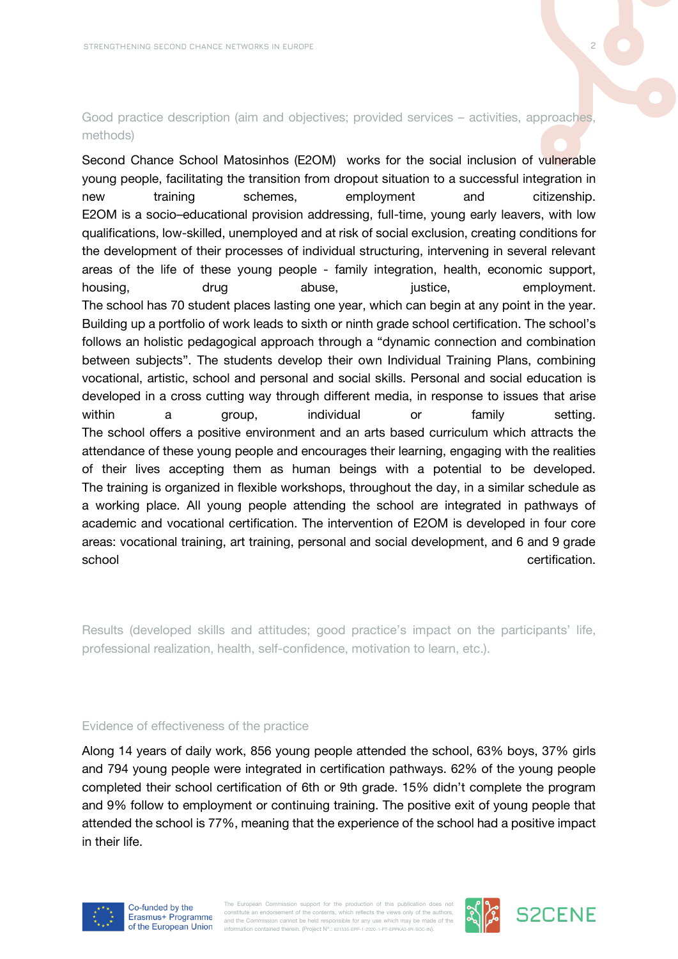#### Good practice description (aim and objectives; provided services – activities, approaches, methods)

Second Chance School Matosinhos (E2OM) works for the social inclusion of vulnerable young people, facilitating the transition from dropout situation to a successful integration in new training schemes, employment and citizenship. E2OM is a socio–educational provision addressing, full-time, young early leavers, with low qualifications, low-skilled, unemployed and at risk of social exclusion, creating conditions for the development of their processes of individual structuring, intervening in several relevant areas of the life of these young people - family integration, health, economic support, housing, and drug abuse, housing, employment. The school has 70 student places lasting one year, which can begin at any point in the year. Building up a portfolio of work leads to sixth or ninth grade school certification. The school's follows an holistic pedagogical approach through a "dynamic connection and combination between subjects". The students develop their own Individual Training Plans, combining vocational, artistic, school and personal and social skills. Personal and social education is developed in a cross cutting way through different media, in response to issues that arise within a group, individual or family setting. The school offers a positive environment and an arts based curriculum which attracts the attendance of these young people and encourages their learning, engaging with the realities of their lives accepting them as human beings with a potential to be developed. The training is organized in flexible workshops, throughout the day, in a similar schedule as a working place. All young people attending the school are integrated in pathways of academic and vocational certification. The intervention of E2OM is developed in four core areas: vocational training, art training, personal and social development, and 6 and 9 grade school extensive school certification.

Results (developed skills and attitudes; good practice's impact on the participants' life, professional realization, health, self-confidence, motivation to learn, etc.).

#### Evidence of effectiveness of the practice

Along 14 years of daily work, 856 young people attended the school, 63% boys, 37% girls and 794 young people were integrated in certification pathways. 62% of the young people completed their school certification of 6th or 9th grade. 15% didn't complete the program and 9% follow to employment or continuing training. The positive exit of young people that attended the school is 77%, meaning that the experience of the school had a positive impact in their life.



The European Commission support for the production of this publication does no constitute an endorsement of the contents, which reflects the views only of the authors and the Commission cannot be held responsible for any use which may be made of the information contained therein. (Project Nº.: 621535-EPP-1-2020-1-PT-EPPKA3-IPI-SOC-IN).



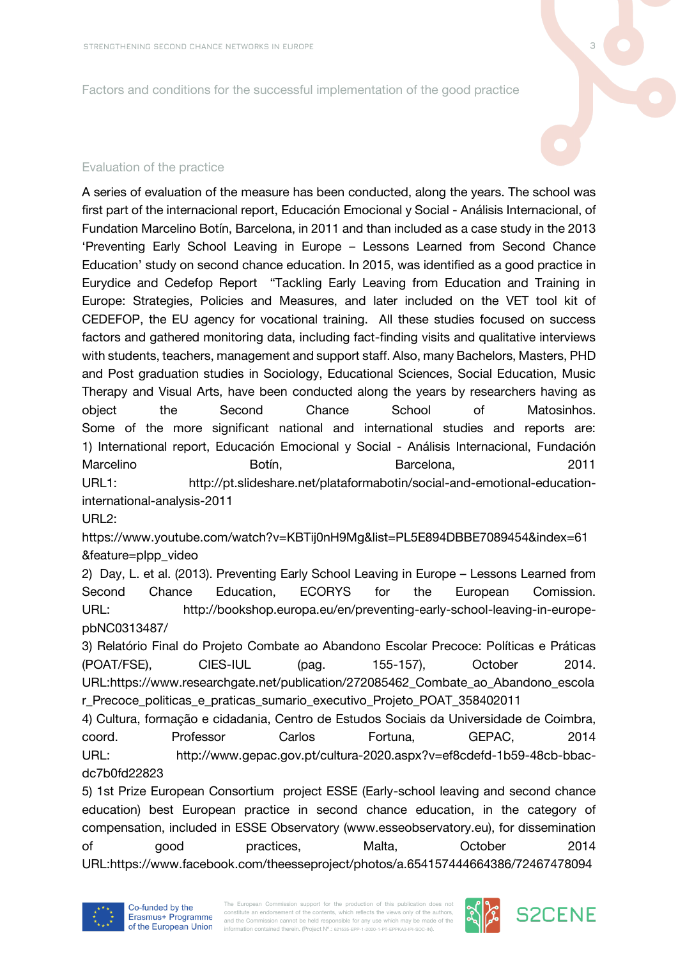Factors and conditions for the successful implementation of the good practice

# Evaluation of the practice

A series of evaluation of the measure has been conducted, along the years. The school was first part of the internacional report, Educación Emocional y Social - Análisis Internacional, of Fundation Marcelino Botín, Barcelona, in 2011 and than included as a case study in the 2013 'Preventing Early School Leaving in Europe – Lessons Learned from Second Chance Education' study on second chance education. In 2015, was identified as a good practice in Eurydice and Cedefop Report "Tackling Early Leaving from Education and Training in Europe: Strategies, Policies and Measures, and later included on the VET tool kit of CEDEFOP, the EU agency for vocational training. All these studies focused on success factors and gathered monitoring data, including fact-finding visits and qualitative interviews with students, teachers, management and support staff. Also, many Bachelors, Masters, PHD and Post graduation studies in Sociology, Educational Sciences, Social Education, Music Therapy and Visual Arts, have been conducted along the years by researchers having as object the Second Chance School of Matosinhos. Some of the more significant national and international studies and reports are: 1) International report, Educación Emocional y Social - Análisis Internacional, Fundación Marcelino **Botín**, Botín, Barcelona, Barcelona, 2011 URL1: http://pt.slideshare.net/plataformabotin/social-and-emotional-educationinternational-analysis-2011

 $URI2$ :

https://www.youtube.com/watch?v=KBTij0nH9Mg&list=PL5E894DBBE7089454&index=61 &feature=plpp\_video

2) Day, L. et al. (2013). Preventing Early School Leaving in Europe – Lessons Learned from Second Chance Education, ECORYS for the European Comission. URL: http://bookshop.europa.eu/en/preventing-early-school-leaving-in-europepbNC0313487/

3) Relatório Final do Projeto Combate ao Abandono Escolar Precoce: Políticas e Práticas (POAT/FSE), CIES-IUL (pag. 155-157), October 2014. URL:https://www.researchgate.net/publication/272085462\_Combate\_ao\_Abandono\_escola r\_Precoce\_politicas\_e\_praticas\_sumario\_executivo\_Projeto\_POAT\_358402011

4) Cultura, formação e cidadania, Centro de Estudos Sociais da Universidade de Coimbra, coord. Professor Carlos Fortuna, GEPAC, 2014 URL: http://www.gepac.gov.pt/cultura-2020.aspx?v=ef8cdefd-1b59-48cb-bbacdc7b0fd22823

5) 1st Prize European Consortium project ESSE (Early-school leaving and second chance education) best European practice in second chance education, in the category of compensation, included in ESSE Observatory (www.esseobservatory.eu), for dissemination of good practices, Malta, October 2014 URL:https://www.facebook.com/theesseproject/photos/a.654157444664386/72467478094





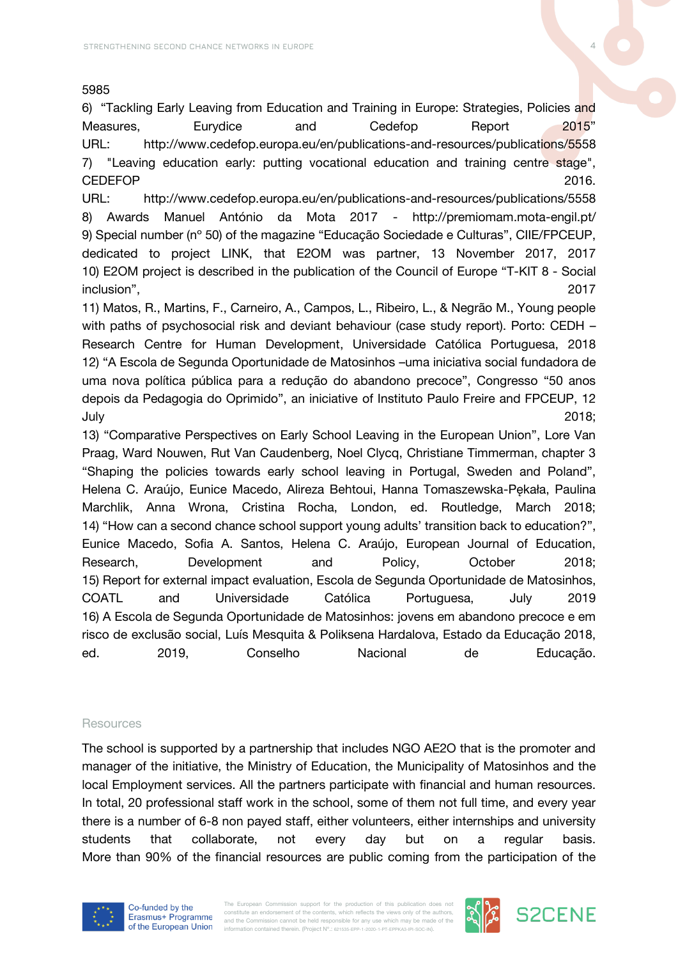#### 5985

6) "Tackling Early Leaving from Education and Training in Europe: Strategies, Policies and Measures, Eurydice and Cedefop Report 2015" URL: http://www.cedefop.europa.eu/en/publications-and-resources/publications/5558 7) "Leaving education early: putting vocational education and training centre stage", CEDEFOP 2016.

URL: http://www.cedefop.europa.eu/en/publications-and-resources/publications/5558 8) Awards Manuel António da Mota 2017 - http://premiomam.mota-engil.pt/ 9) Special number (nº 50) of the magazine "Educação Sociedade e Culturas", CIIE/FPCEUP, dedicated to project LINK, that E2OM was partner, 13 November 2017, 2017 10) E2OM project is described in the publication of the Council of Europe "T-KIT 8 - Social inclusion", 2017

11) Matos, R., Martins, F., Carneiro, A., Campos, L., Ribeiro, L., & Negrão M., Young people with paths of psychosocial risk and deviant behaviour (case study report). Porto: CEDH – Research Centre for Human Development, Universidade Católica Portuguesa, 2018 12) "A Escola de Segunda Oportunidade de Matosinhos –uma iniciativa social fundadora de uma nova política pública para a redução do abandono precoce", Congresso "50 anos depois da Pedagogia do Oprimido", an iniciative of Instituto Paulo Freire and FPCEUP, 12 July 2018;

13) "Comparative Perspectives on Early School Leaving in the European Union", Lore Van Praag, Ward Nouwen, Rut Van Caudenberg, Noel Clycq, Christiane Timmerman, chapter 3 "Shaping the policies towards early school leaving in Portugal, Sweden and Poland", Helena C. Araújo, Eunice Macedo, Alireza Behtoui, Hanna Tomaszewska-Pękała, Paulina Marchlik, Anna Wrona, Cristina Rocha, London, ed. Routledge, March 2018; 14) "How can a second chance school support young adults' transition back to education?", Eunice Macedo, Sofia A. Santos, Helena C. Araújo, European Journal of Education, Research, Development and Policy, October 2018; 15) Report for external impact evaluation, Escola de Segunda Oportunidade de Matosinhos, COATL and Universidade Católica Portuguesa, July 2019 16) A Escola de Segunda Oportunidade de Matosinhos: jovens em abandono precoce e em risco de exclusão social, Luís Mesquita & Poliksena Hardalova, Estado da Educação 2018, ed. 2019, Conselho Nacional de Educação.

#### Resources

The school is supported by a partnership that includes NGO AE2O that is the promoter and manager of the initiative, the Ministry of Education, the Municipality of Matosinhos and the local Employment services. All the partners participate with financial and human resources. In total, 20 professional staff work in the school, some of them not full time, and every year there is a number of 6-8 non payed staff, either volunteers, either internships and university students that collaborate, not every day but on a regular basis. More than 90% of the financial resources are public coming from the participation of the



The European Commission support for the production of this publication does no constitute an endorsement of the contents, which reflects the views only of the authors and the Commission cannot be held responsible for any use which may be made of the information contained therein. (Project Nº.: 621535-EPP-1-2020-1-PT-EPPKA3-IPI-SOC-IN).



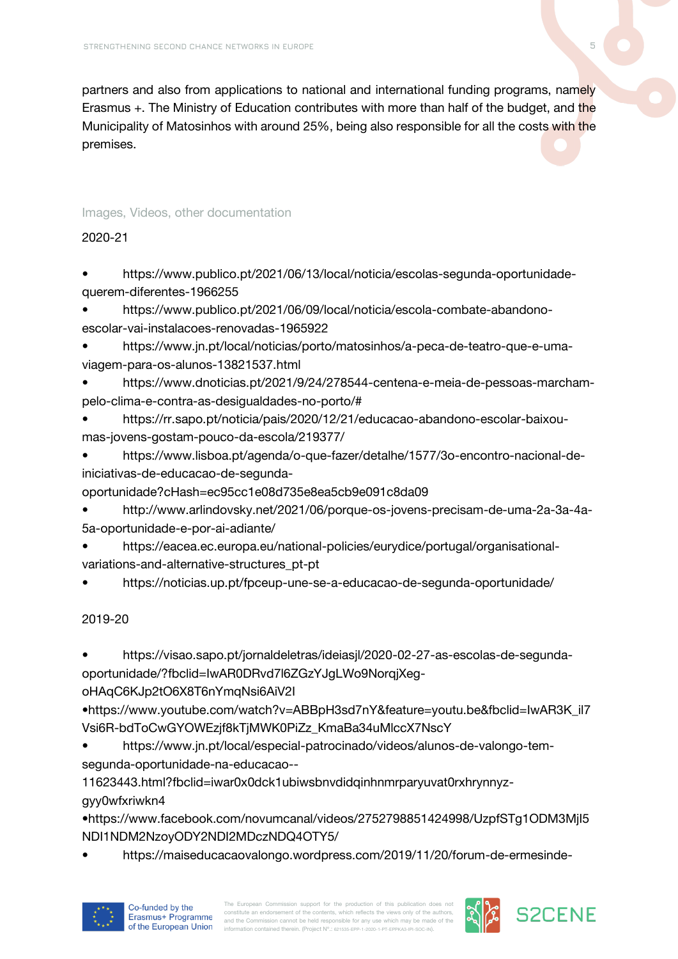partners and also from applications to national and international funding programs, namely Erasmus +. The Ministry of Education contributes with more than half of the budget, and the Municipality of Matosinhos with around 25%, being also responsible for all the costs with the premises.

#### Images, Videos, other documentation

#### 2020-21

• https://www.publico.pt/2021/06/13/local/noticia/escolas-segunda-oportunidadequerem-diferentes-1966255

• https://www.publico.pt/2021/06/09/local/noticia/escola-combate-abandonoescolar-vai-instalacoes-renovadas-1965922

• https://www.jn.pt/local/noticias/porto/matosinhos/a-peca-de-teatro-que-e-umaviagem-para-os-alunos-13821537.html

• https://www.dnoticias.pt/2021/9/24/278544-centena-e-meia-de-pessoas-marchampelo-clima-e-contra-as-desigualdades-no-porto/#

• https://rr.sapo.pt/noticia/pais/2020/12/21/educacao-abandono-escolar-baixoumas-jovens-gostam-pouco-da-escola/219377/

• https://www.lisboa.pt/agenda/o-que-fazer/detalhe/1577/3o-encontro-nacional-deiniciativas-de-educacao-de-segunda-

oportunidade?cHash=ec95cc1e08d735e8ea5cb9e091c8da09

• http://www.arlindovsky.net/2021/06/porque-os-jovens-precisam-de-uma-2a-3a-4a-5a-oportunidade-e-por-ai-adiante/

• https://eacea.ec.europa.eu/national-policies/eurydice/portugal/organisationalvariations-and-alternative-structures\_pt-pt

• https://noticias.up.pt/fpceup-une-se-a-educacao-de-segunda-oportunidade/

## 2019-20

• https://visao.sapo.pt/jornaldeletras/ideiasjl/2020-02-27-as-escolas-de-segundaoportunidade/?fbclid=IwAR0DRvd7l6ZGzYJgLWo9NorqjXeg-

oHAqC6KJp2tO6X8T6nYmqNsi6AiV2I

•https://www.youtube.com/watch?v=ABBpH3sd7nY&feature=youtu.be&fbclid=IwAR3K\_il7 Vsi6R-bdToCwGYOWEzjf8kTjMWK0PiZz\_KmaBa34uMlccX7NscY

• https://www.jn.pt/local/especial-patrocinado/videos/alunos-de-valongo-temsegunda-oportunidade-na-educacao--

11623443.html?fbclid=iwar0x0dck1ubiwsbnvdidqinhnmrparyuvat0rxhrynnyz-

gyy0wfxriwkn4

•https://www.facebook.com/novumcanal/videos/2752798851424998/UzpfSTg1ODM3MjI5 NDI1NDM2NzoyODY2NDI2MDczNDQ4OTY5/

• https://maiseducacaovalongo.wordpress.com/2019/11/20/forum-de-ermesinde-



The European Commission support for the production of this publication does not constitute an endorsement of the contents, which reflects the views only of the authors constitute an endorsement of the contents, which reflects the views only of the authors,<br>and the Commission cannot be held responsible for any use which may be made of the<br>information contained therein. (Project N°.: @1635

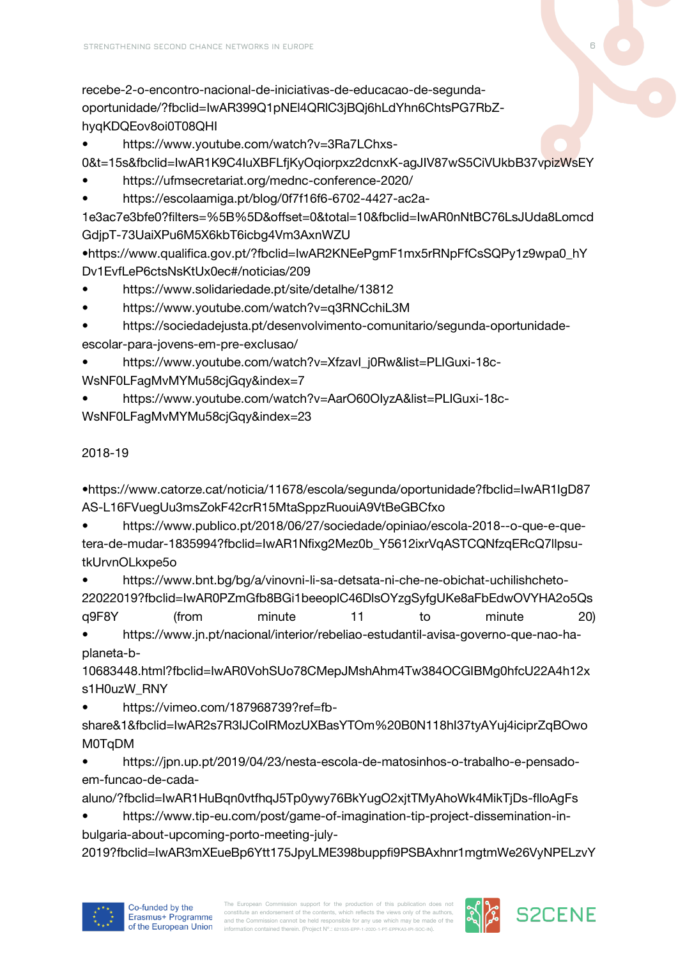recebe-2-o-encontro-nacional-de-iniciativas-de-educacao-de-segundaoportunidade/?fbclid=IwAR399Q1pNEl4QRlC3jBQj6hLdYhn6ChtsPG7RbZhyqKDQEov8oi0T08QHI

• https://www.youtube.com/watch?v=3Ra7LChxs-

0&t=15s&fbclid=IwAR1K9C4IuXBFLfjKyOqiorpxz2dcnxK-agJIV87wS5CiVUkbB37vpizWsEY

- https://ufmsecretariat.org/mednc-conference-2020/
- https://escolaamiga.pt/blog/0f7f16f6-6702-4427-ac2a-

1e3ac7e3bfe0?filters=%5B%5D&offset=0&total=10&fbclid=IwAR0nNtBC76LsJUda8Lomcd GdjpT-73UaiXPu6M5X6kbT6icbg4Vm3AxnWZU

•https://www.qualifica.gov.pt/?fbclid=IwAR2KNEePgmF1mx5rRNpFfCsSQPy1z9wpa0\_hY Dv1EvfLeP6ctsNsKtUx0ec#/noticias/209

- https://www.solidariedade.pt/site/detalhe/13812
- https://www.youtube.com/watch?v=q3RNCchiL3M
- https://sociedadejusta.pt/desenvolvimento-comunitario/segunda-oportunidadeescolar-para-jovens-em-pre-exclusao/

• https://www.youtube.com/watch?v=XfzavI\_j0Rw&list=PLIGuxi-18c-WsNF0LFagMvMYMu58ciGqy&index=7

• https://www.youtube.com/watch?v=AarO60OIyzA&list=PLIGuxi-18c-WsNF0LFagMvMYMu58cjGqy&index=23

# 2018-19

•https://www.catorze.cat/noticia/11678/escola/segunda/oportunidade?fbclid=IwAR1IgD87 AS-L16FVuegUu3msZokF42crR15MtaSppzRuouiA9VtBeGBCfxo

• https://www.publico.pt/2018/06/27/sociedade/opiniao/escola-2018--o-que-e-quetera-de-mudar-1835994?fbclid=IwAR1Nfixg2Mez0b\_Y5612ixrVqASTCQNfzqERcQ7llpsutkUrvnOLkxpe5o

• https://www.bnt.bg/bg/a/vinovni-li-sa-detsata-ni-che-ne-obichat-uchilishcheto-22022019?fbclid=IwAR0PZmGfb8BGi1beeoplC46DlsOYzgSyfgUKe8aFbEdwOVYHA2o5Qs q9F8Y (from minute 11 to minute 20) • https://www.jn.pt/nacional/interior/rebeliao-estudantil-avisa-governo-que-nao-ha-

planeta-b-

10683448.html?fbclid=IwAR0VohSUo78CMepJMshAhm4Tw384OCGIBMg0hfcU22A4h12x s1H0uzW\_RNY

• https://vimeo.com/187968739?ref=fb-

share&1&fbclid=IwAR2s7R3IJCoIRMozUXBasYTOm%20B0N118hI37tyAYuj4iciprZqBOwo M0TqDM

• https://jpn.up.pt/2019/04/23/nesta-escola-de-matosinhos-o-trabalho-e-pensadoem-funcao-de-cada-

aluno/?fbclid=IwAR1HuBqn0vtfhqJ5Tp0ywy76BkYugO2xjtTMyAhoWk4MikTjDs-flloAgFs

• https://www.tip-eu.com/post/game-of-imagination-tip-project-dissemination-inbulgaria-about-upcoming-porto-meeting-july-

2019?fbclid=IwAR3mXEueBp6Ytt175JpyLME398buppfi9PSBAxhnr1mgtmWe26VyNPELzvY





**S2CENE**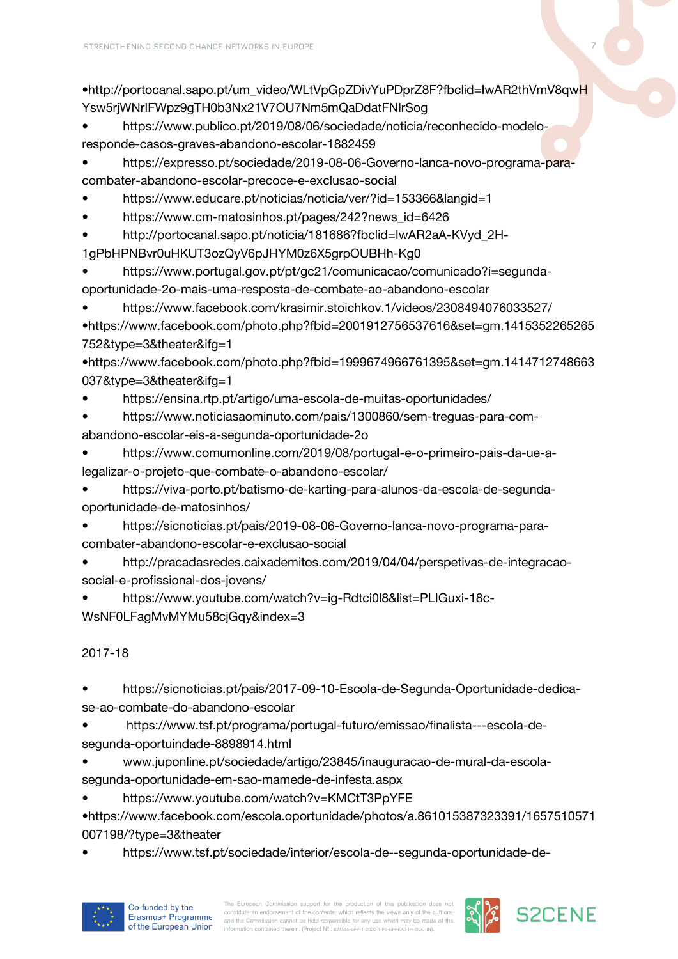•http://portocanal.sapo.pt/um\_video/WLtVpGpZDivYuPDprZ8F?fbclid=IwAR2thVmV8qwH Ysw5rjWNrIFWpz9gTH0b3Nx21V7OU7Nm5mQaDdatFNIrSog

• https://www.publico.pt/2019/08/06/sociedade/noticia/reconhecido-modeloresponde-casos-graves-abandono-escolar-1882459

• https://expresso.pt/sociedade/2019-08-06-Governo-lanca-novo-programa-paracombater-abandono-escolar-precoce-e-exclusao-social

- https://www.educare.pt/noticias/noticia/ver/?id=153366&langid=1
- https://www.cm-matosinhos.pt/pages/242?news\_id=6426

• http://portocanal.sapo.pt/noticia/181686?fbclid=IwAR2aA-KVyd\_2H-

1gPbHPNBvr0uHKUT3ozQyV6pJHYM0z6X5grpOUBHh-Kg0

• https://www.portugal.gov.pt/pt/gc21/comunicacao/comunicado?i=segundaoportunidade-2o-mais-uma-resposta-de-combate-ao-abandono-escolar

• https://www.facebook.com/krasimir.stoichkov.1/videos/2308494076033527/ •https://www.facebook.com/photo.php?fbid=2001912756537616&set=gm.1415352265265 752&type=3&theater&ifg=1

•https://www.facebook.com/photo.php?fbid=1999674966761395&set=gm.1414712748663 037&type=3&theater&ifg=1

• https://ensina.rtp.pt/artigo/uma-escola-de-muitas-oportunidades/

• https://www.noticiasaominuto.com/pais/1300860/sem-treguas-para-comabandono-escolar-eis-a-segunda-oportunidade-2o

• https://www.comumonline.com/2019/08/portugal-e-o-primeiro-pais-da-ue-alegalizar-o-projeto-que-combate-o-abandono-escolar/

• https://viva-porto.pt/batismo-de-karting-para-alunos-da-escola-de-segundaoportunidade-de-matosinhos/

• https://sicnoticias.pt/pais/2019-08-06-Governo-lanca-novo-programa-paracombater-abandono-escolar-e-exclusao-social

• http://pracadasredes.caixademitos.com/2019/04/04/perspetivas-de-integracaosocial-e-profissional-dos-jovens/

• https://www.youtube.com/watch?v=ig-Rdtci0l8&list=PLIGuxi-18c-WsNF0LFagMvMYMu58cjGqy&index=3

# 2017-18

• https://sicnoticias.pt/pais/2017-09-10-Escola-de-Segunda-Oportunidade-dedicase-ao-combate-do-abandono-escolar

• https://www.tsf.pt/programa/portugal-futuro/emissao/finalista---escola-desegunda-oportuindade-8898914.html

• www.juponline.pt/sociedade/artigo/23845/inauguracao-de-mural-da-escolasegunda-oportunidade-em-sao-mamede-de-infesta.aspx

• https://www.youtube.com/watch?v=KMCtT3PpYFE

•https://www.facebook.com/escola.oportunidade/photos/a.861015387323391/1657510571 007198/?type=3&theater

• https://www.tsf.pt/sociedade/interior/escola-de--segunda-oportunidade-de-



The European Commission support for the production of this publication does not constitute an endorsement of the contents, which reflects the views only of the authors constitute an endorsement of the contents, which reflects the views only of the authors,<br>and the Commission cannot be held responsible for any use which may be made of the<br>information contained therein. (Project N°.: @1635

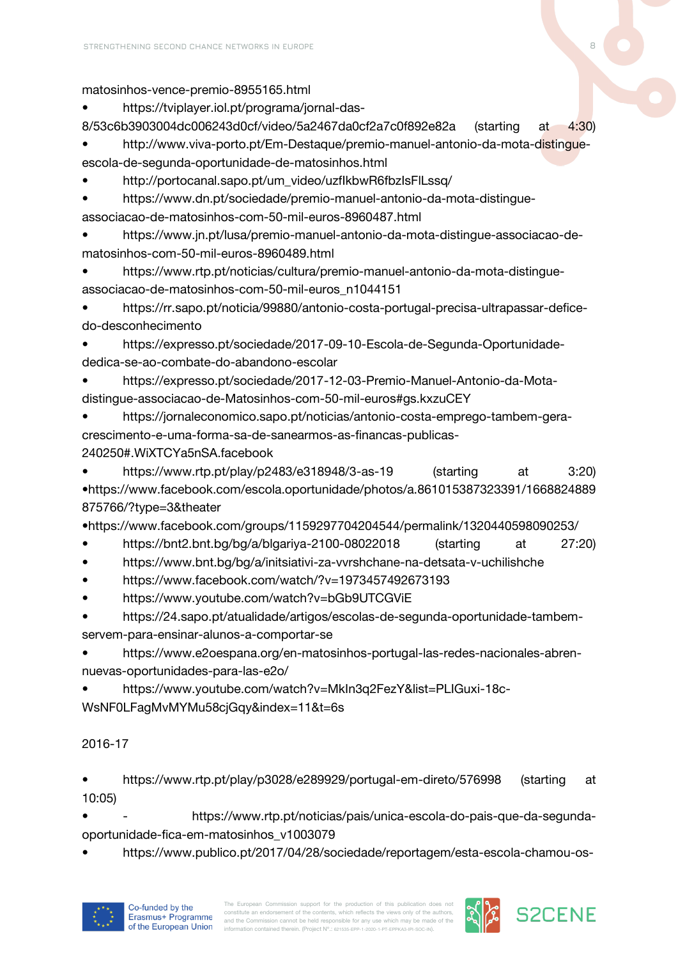matosinhos-vence-premio-8955165.html

• https://tviplayer.iol.pt/programa/jornal-das-

8/53c6b3903004dc006243d0cf/video/5a2467da0cf2a7c0f892e82a (starting at 4:30)

• http://www.viva-porto.pt/Em-Destaque/premio-manuel-antonio-da-mota-distingueescola-de-segunda-oportunidade-de-matosinhos.html

• http://portocanal.sapo.pt/um\_video/uzfIkbwR6fbzIsFlLssq/

• https://www.dn.pt/sociedade/premio-manuel-antonio-da-mota-distingue-

associacao-de-matosinhos-com-50-mil-euros-8960487.html

• https://www.jn.pt/lusa/premio-manuel-antonio-da-mota-distingue-associacao-dematosinhos-com-50-mil-euros-8960489.html

• https://www.rtp.pt/noticias/cultura/premio-manuel-antonio-da-mota-distingueassociacao-de-matosinhos-com-50-mil-euros\_n1044151

• https://rr.sapo.pt/noticia/99880/antonio-costa-portugal-precisa-ultrapassar-deficedo-desconhecimento

• https://expresso.pt/sociedade/2017-09-10-Escola-de-Segunda-Oportunidadededica-se-ao-combate-do-abandono-escolar

• https://expresso.pt/sociedade/2017-12-03-Premio-Manuel-Antonio-da-Motadistingue-associacao-de-Matosinhos-com-50-mil-euros#gs.kxzuCEY

• https://jornaleconomico.sapo.pt/noticias/antonio-costa-emprego-tambem-geracrescimento-e-uma-forma-sa-de-sanearmos-as-financas-publicas-240250#.WiXTCYa5nSA.facebook

• https://www.rtp.pt/play/p2483/e318948/3-as-19 (starting at 3:20) •https://www.facebook.com/escola.oportunidade/photos/a.861015387323391/1668824889 875766/?type=3&theater

•https://www.facebook.com/groups/1159297704204544/permalink/1320440598090253/

- https://bnt2.bnt.bg/bg/a/blgariya-2100-08022018 (starting at 27:20)
- https://www.bnt.bg/bg/a/initsiativi-za-vvrshchane-na-detsata-v-uchilishche
- https://www.facebook.com/watch/?v=1973457492673193
- https://www.youtube.com/watch?v=bGb9UTCGViE

• https://24.sapo.pt/atualidade/artigos/escolas-de-segunda-oportunidade-tambemservem-para-ensinar-alunos-a-comportar-se

• https://www.e2oespana.org/en-matosinhos-portugal-las-redes-nacionales-abrennuevas-oportunidades-para-las-e2o/

• https://www.youtube.com/watch?v=MkIn3q2FezY&list=PLIGuxi-18c-WsNF0LFagMvMYMu58cjGqy&index=11&t=6s

## 2016-17

• https://www.rtp.pt/play/p3028/e289929/portugal-em-direto/576998 (starting at 10:05)

• - https://www.rtp.pt/noticias/pais/unica-escola-do-pais-que-da-segundaoportunidade-fica-em-matosinhos\_v1003079

• https://www.publico.pt/2017/04/28/sociedade/reportagem/esta-escola-chamou-os-





**S2CENE**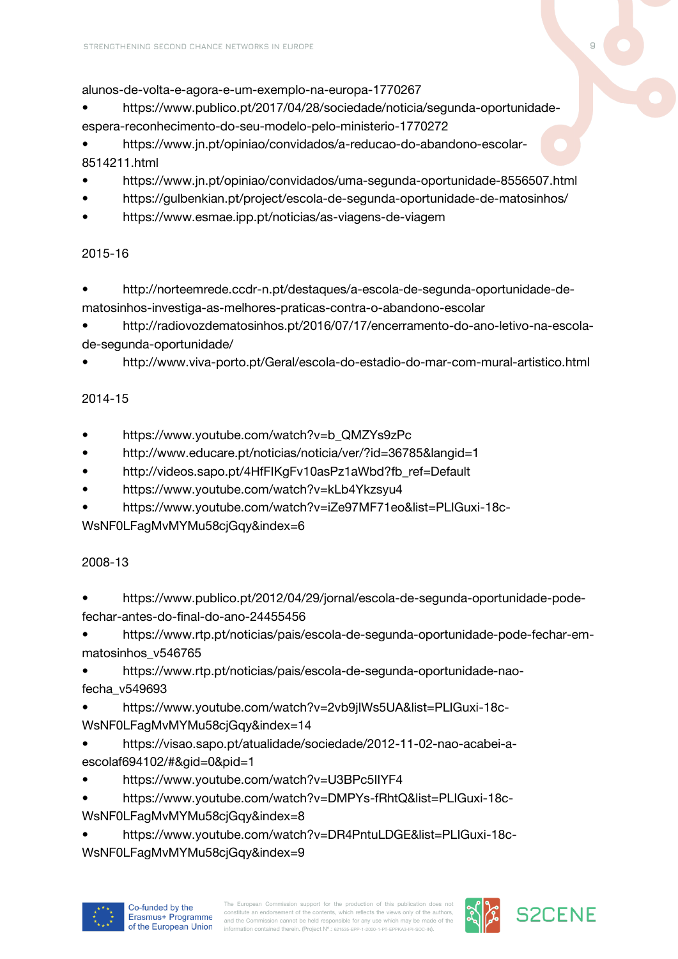alunos-de-volta-e-agora-e-um-exemplo-na-europa-1770267

• https://www.publico.pt/2017/04/28/sociedade/noticia/segunda-oportunidadeespera-reconhecimento-do-seu-modelo-pelo-ministerio-1770272

• https://www.jn.pt/opiniao/convidados/a-reducao-do-abandono-escolar-8514211.html

- https://www.jn.pt/opiniao/convidados/uma-segunda-oportunidade-8556507.html
- https://gulbenkian.pt/project/escola-de-segunda-oportunidade-de-matosinhos/
- https://www.esmae.ipp.pt/noticias/as-viagens-de-viagem

#### 2015-16

- http://norteemrede.ccdr-n.pt/destaques/a-escola-de-segunda-oportunidade-dematosinhos-investiga-as-melhores-praticas-contra-o-abandono-escolar
- http://radiovozdematosinhos.pt/2016/07/17/encerramento-do-ano-letivo-na-escolade-segunda-oportunidade/
- http://www.viva-porto.pt/Geral/escola-do-estadio-do-mar-com-mural-artistico.html

## 2014-15

- https://www.youtube.com/watch?v=b\_QMZYs9zPc
- http://www.educare.pt/noticias/noticia/ver/?id=36785&langid=1
- http://videos.sapo.pt/4HfFIKgFv10asPz1aWbd?fb\_ref=Default
- https://www.youtube.com/watch?v=kLb4Ykzsyu4
- https://www.youtube.com/watch?v=iZe97MF71eo&list=PLIGuxi-18c-

WsNF0LFagMvMYMu58cjGqy&index=6

#### 2008-13

- https://www.publico.pt/2012/04/29/jornal/escola-de-segunda-oportunidade-podefechar-antes-do-final-do-ano-24455456
- https://www.rtp.pt/noticias/pais/escola-de-segunda-oportunidade-pode-fechar-emmatosinhos\_v546765
- https://www.rtp.pt/noticias/pais/escola-de-segunda-oportunidade-naofecha\_v549693

• https://www.youtube.com/watch?v=2vb9jIWs5UA&list=PLIGuxi-18c-WsNF0LFagMvMYMu58cjGqy&index=14

- https://visao.sapo.pt/atualidade/sociedade/2012-11-02-nao-acabei-aescolaf694102/#&gid=0&pid=1
- https://www.youtube.com/watch?v=U3BPc5IIYF4
- https://www.youtube.com/watch?v=DMPYs-fRhtQ&list=PLIGuxi-18c-WsNF0LFagMvMYMu58ciGqy&index=8
- https://www.youtube.com/watch?v=DR4PntuLDGE&list=PLIGuxi-18c-WsNF0LFagMvMYMu58cjGqy&index=9



The European Commission support for the production of this publication does not constitute an endorsement of the contents, which reflects the views only of the authors constitute an endorsement of the contents, which reflects the views only of the authors,<br>and the Commission cannot be held responsible for any use which may be made of the<br>information contained therein. (Project N°.: @1635